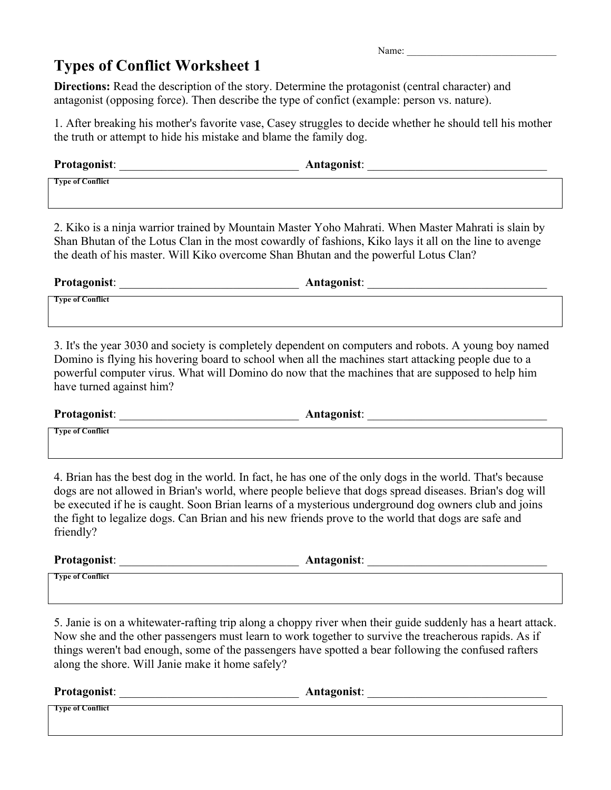Name:

## **Types of Conflict Worksheet 1**

**Directions:** Read the description of the story. Determine the protagonist (central character) and antagonist (opposing force). Then describe the type of confict (example: person vs. nature).

1. After breaking his mother's favorite vase, Casey struggles to decide whether he should tell his mother the truth or attempt to hide his mistake and blame the family dog.

| <b>Protagonist:</b>     | Antagonist: |
|-------------------------|-------------|
| <b>Type of Conflict</b> |             |

2. Kiko is a ninja warrior trained by Mountain Master Yoho Mahrati. When Master Mahrati is slain by Shan Bhutan of the Lotus Clan in the most cowardly of fashions, Kiko lays it all on the line to avenge the death of his master. Will Kiko overcome Shan Bhutan and the powerful Lotus Clan?

| <b>Protagonist:</b>     | <b>Antagonist:</b> |
|-------------------------|--------------------|
| <b>Type of Conflict</b> |                    |

3. It's the year 3030 and society is completely dependent on computers and robots. A young boy named Domino is flying his hovering board to school when all the machines start attacking people due to a powerful computer virus. What will Domino do now that the machines that are supposed to help him have turned against him?

**Protagonist**: \_\_\_\_\_\_\_\_\_\_\_\_\_\_\_\_\_\_\_\_\_\_\_\_\_\_\_\_\_\_ **Antagonist**: \_\_\_\_\_\_\_\_\_\_\_\_\_\_\_\_\_\_\_\_\_\_\_\_\_\_\_\_\_\_

**Type of Conflict**

4. Brian has the best dog in the world. In fact, he has one of the only dogs in the world. That's because dogs are not allowed in Brian's world, where people believe that dogs spread diseases. Brian's dog will be executed if he is caught. Soon Brian learns of a mysterious underground dog owners club and joins the fight to legalize dogs. Can Brian and his new friends prove to the world that dogs are safe and friendly?

**Protagonist**: \_\_\_\_\_\_\_\_\_\_\_\_\_\_\_\_\_\_\_\_\_\_\_\_\_\_\_\_\_\_ **Antagonist**: \_\_\_\_\_\_\_\_\_\_\_\_\_\_\_\_\_\_\_\_\_\_\_\_\_\_\_\_\_\_

**Type of Conflict**

5. Janie is on a whitewater-rafting trip along a choppy river when their guide suddenly has a heart attack. Now she and the other passengers must learn to work together to survive the treacherous rapids. As if things weren't bad enough, some of the passengers have spotted a bear following the confused rafters along the shore. Will Janie make it home safely?

**Protagonist**: \_\_\_\_\_\_\_\_\_\_\_\_\_\_\_\_\_\_\_\_\_\_\_\_\_\_\_\_\_\_ **Antagonist**: \_\_\_\_\_\_\_\_\_\_\_\_\_\_\_\_\_\_\_\_\_\_\_\_\_\_\_\_\_\_

**Type of Conflict**